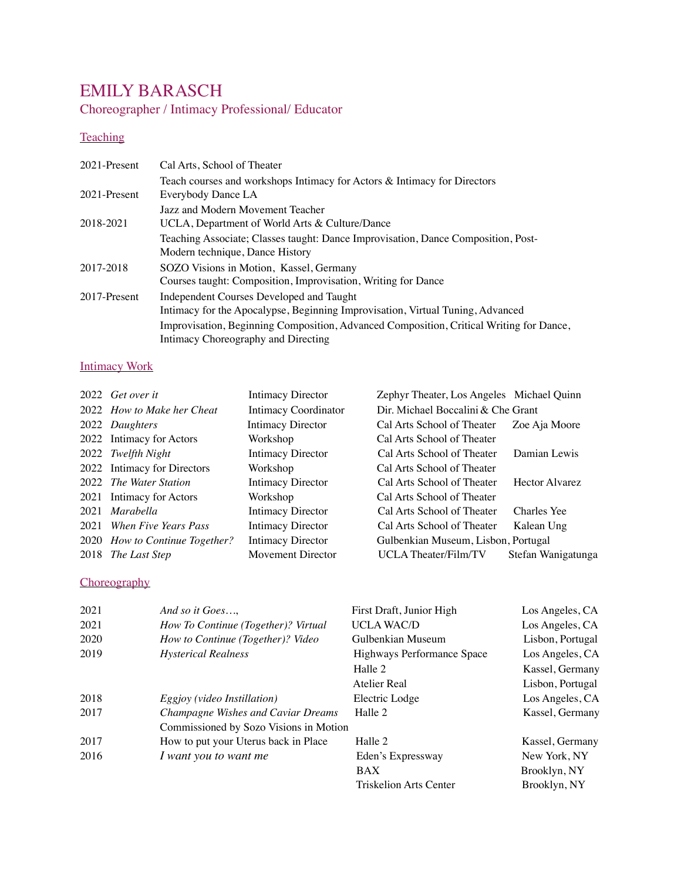# EMILY BARASCH

Choreographer / Intimacy Professional/ Educator

## **Teaching**

| 2021-Present | Cal Arts, School of Theater                                                             |
|--------------|-----------------------------------------------------------------------------------------|
|              | Teach courses and workshops Intimacy for Actors & Intimacy for Directors                |
| 2021-Present | Everybody Dance LA                                                                      |
|              | Jazz and Modern Movement Teacher                                                        |
| 2018-2021    | UCLA, Department of World Arts & Culture/Dance                                          |
|              | Teaching Associate; Classes taught: Dance Improvisation, Dance Composition, Post-       |
|              | Modern technique, Dance History                                                         |
| 2017-2018    | SOZO Visions in Motion, Kassel, Germany                                                 |
|              | Courses taught: Composition, Improvisation, Writing for Dance                           |
| 2017-Present | Independent Courses Developed and Taught                                                |
|              | Intimacy for the Apocalypse, Beginning Improvisation, Virtual Tuning, Advanced          |
|              | Improvisation, Beginning Composition, Advanced Composition, Critical Writing for Dance, |
|              | Intimacy Choreography and Directing                                                     |

### Intimacy Work

| 2022 Get over it                      | Intimacy Director           | Zephyr Theater, Los Angeles Michael Quinn |                       |
|---------------------------------------|-----------------------------|-------------------------------------------|-----------------------|
| 2022 <i>How to Make her Cheat</i>     | <b>Intimacy Coordinator</b> | Dir. Michael Boccalini & Che Grant        |                       |
| 2022 Daughters                        | Intimacy Director           | Cal Arts School of Theater                | Zoe Aja Moore         |
| 2022 Intimacy for Actors              | Workshop                    | Cal Arts School of Theater                |                       |
| 2022 Twelfth Night                    | Intimacy Director           | Cal Arts School of Theater                | Damian Lewis          |
| 2022 Intimacy for Directors           | Workshop                    | Cal Arts School of Theater                |                       |
| 2022 The Water Station                | Intimacy Director           | Cal Arts School of Theater                | <b>Hector Alvarez</b> |
| 2021 Intimacy for Actors              | Workshop                    | Cal Arts School of Theater                |                       |
| 2021 Marabella                        | Intimacy Director           | Cal Arts School of Theater                | Charles Yee           |
| 2021 When Five Years Pass             | Intimacy Director           | Cal Arts School of Theater                | Kalean Ung            |
| 2020 <i>How to Continue Together?</i> | <b>Intimacy Director</b>    | Gulbenkian Museum, Lisbon, Portugal       |                       |
| 2018 The Last Step                    | Movement Director           | UCLA Theater/Film/TV                      | Stefan Wanigatunga    |

### **Choreography**

| 2021 | And so it Goes                              | First Draft, Junior High   | Los Angeles, CA  |
|------|---------------------------------------------|----------------------------|------------------|
| 2021 | How To Continue (Together)? Virtual         | <b>UCLA WAC/D</b>          | Los Angeles, CA  |
| 2020 | How to Continue (Together)? Video           | Gulbenkian Museum          | Lisbon, Portugal |
| 2019 | <b>Hysterical Realness</b>                  | Highways Performance Space | Los Angeles, CA  |
|      |                                             | Halle 2                    | Kassel, Germany  |
|      |                                             | Atelier Real               | Lisbon, Portugal |
| 2018 | <i>Eggioy</i> ( <i>video Instillation</i> ) | Electric Lodge             | Los Angeles, CA  |
| 2017 | Champagne Wishes and Caviar Dreams          | Halle 2                    | Kassel, Germany  |
|      | Commissioned by Sozo Visions in Motion      |                            |                  |
| 2017 | How to put your Uterus back in Place        | Halle 2                    | Kassel, Germany  |
| 2016 | I want you to want me                       | Eden's Expressway          | New York, NY     |
|      |                                             | <b>BAX</b>                 | Brooklyn, NY     |
|      |                                             | Triskelion Arts Center     | Brooklyn, NY     |
|      |                                             |                            |                  |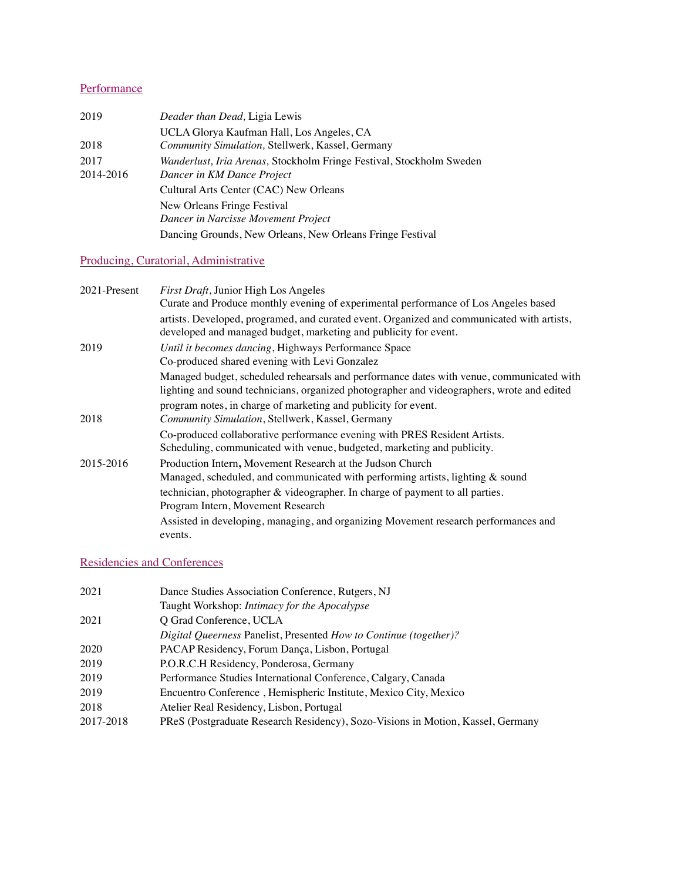## **Performance**

| 2019      | Deader than Dead, Ligia Lewis                                        |  |
|-----------|----------------------------------------------------------------------|--|
|           | UCLA Glorya Kaufman Hall, Los Angeles, CA                            |  |
| 2018      | Community Simulation, Stellwerk, Kassel, Germany                     |  |
| 2017      | Wanderlust, Iria Arenas, Stockholm Fringe Festival, Stockholm Sweden |  |
| 2014-2016 | Dancer in KM Dance Project                                           |  |
|           | Cultural Arts Center (CAC) New Orleans                               |  |
|           | New Orleans Fringe Festival                                          |  |
|           | Dancer in Narcisse Movement Project                                  |  |
|           | Dancing Grounds, New Orleans, New Orleans Fringe Festival            |  |

## Producing, Curatorial, Administrative

| 2021-Present | First Draft, Junior High Los Angeles                                                                                                                                                   |
|--------------|----------------------------------------------------------------------------------------------------------------------------------------------------------------------------------------|
|              | Curate and Produce monthly evening of experimental performance of Los Angeles based                                                                                                    |
|              | artists. Developed, programed, and curated event. Organized and communicated with artists,<br>developed and managed budget, marketing and publicity for event.                         |
| 2019         | Until it becomes dancing, Highways Performance Space<br>Co-produced shared evening with Levi Gonzalez                                                                                  |
|              | Managed budget, scheduled rehearsals and performance dates with venue, communicated with<br>lighting and sound technicians, organized photographer and videographers, wrote and edited |
| 2018         | program notes, in charge of marketing and publicity for event.<br>Community Simulation, Stellwerk, Kassel, Germany                                                                     |
|              | Co-produced collaborative performance evening with PRES Resident Artists.<br>Scheduling, communicated with venue, budgeted, marketing and publicity.                                   |
| 2015-2016    | Production Intern, Movement Research at the Judson Church                                                                                                                              |
|              | Managed, scheduled, and communicated with performing artists, lighting & sound                                                                                                         |
|              | technician, photographer & videographer. In charge of payment to all parties.                                                                                                          |
|              | Program Intern, Movement Research                                                                                                                                                      |
|              | Assisted in developing, managing, and organizing Movement research performances and<br>events.                                                                                         |

## Residencies and Conferences

| 2021      | Dance Studies Association Conference, Rutgers, NJ                               |
|-----------|---------------------------------------------------------------------------------|
|           | Taught Workshop: Intimacy for the Apocalypse                                    |
| 2021      | O Grad Conference, UCLA                                                         |
|           | Digital Queerness Panelist, Presented How to Continue (together)?               |
| 2020      | PACAP Residency, Forum Dança, Lisbon, Portugal                                  |
| 2019      | P.O.R.C.H Residency, Ponderosa, Germany                                         |
| 2019      | Performance Studies International Conference, Calgary, Canada                   |
| 2019      | Encuentro Conference, Hemispheric Institute, Mexico City, Mexico                |
| 2018      | Atelier Real Residency, Lisbon, Portugal                                        |
| 2017-2018 | PReS (Postgraduate Research Residency), Sozo-Visions in Motion, Kassel, Germany |